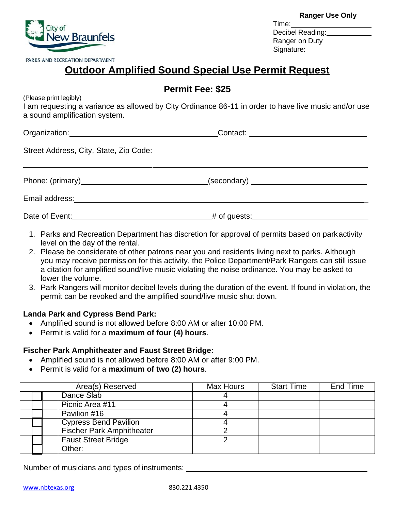**Ranger Use Only**  Time: Decibel Reading: Ranger on Duty Signature: expansion of the state of the state of the state of the state of the state of the state of the state of the state of the state of the state of the state of the state of the state of the state of the state of the

# **Outdoor Amplified Sound Special Use Permit Request**

# **Permit Fee: \$25**

(Please print legibly)

I am requesting a variance as allowed by City Ordinance 86-11 in order to have live music and/or use a sound amplification system.

Organization: Contact:

Street Address, City, State, Zip Code:

Phone: (primary) and the secondary (secondary) (secondary)

Email address: \_

Date of Event:  $\#$  of guests:

- 1. Parks and Recreation Department has discretion for approval of permits based on parkactivity level on the day of the rental.
- 2. Please be considerate of other patrons near you and residents living next to parks. Although you may receive permission for this activity, the Police Department/Park Rangers can still issue a citation for amplified sound/live music violating the noise ordinance. You may be asked to lower the volume.
- 3. Park Rangers will monitor decibel levels during the duration of the event. If found in violation, the permit can be revoked and the amplified sound/live music shut down.

## **Landa Park and Cypress Bend Park:**

- Amplified sound is not allowed before 8:00 AM or after 10:00 PM.
- Permit is valid for a **maximum of four (4) hours**.

# **Fischer Park Amphitheater and Faust Street Bridge:**

- Amplified sound is not allowed before 8:00 AM or after 9:00 PM.
- Permit is valid for a **maximum of two (2) hours**.

|  |  | Area(s) Reserved                 | <b>Max Hours</b> | <b>Start Time</b> | End Time |
|--|--|----------------------------------|------------------|-------------------|----------|
|  |  | Dance Slab                       |                  |                   |          |
|  |  | Picnic Area #11                  |                  |                   |          |
|  |  | Pavilion #16                     |                  |                   |          |
|  |  | <b>Cypress Bend Pavilion</b>     |                  |                   |          |
|  |  | <b>Fischer Park Amphitheater</b> |                  |                   |          |
|  |  | <b>Faust Street Bridge</b>       |                  |                   |          |
|  |  | Other:                           |                  |                   |          |

Number of musicians and types of instruments:



PARKS AND RECREATION DEPARTMENT